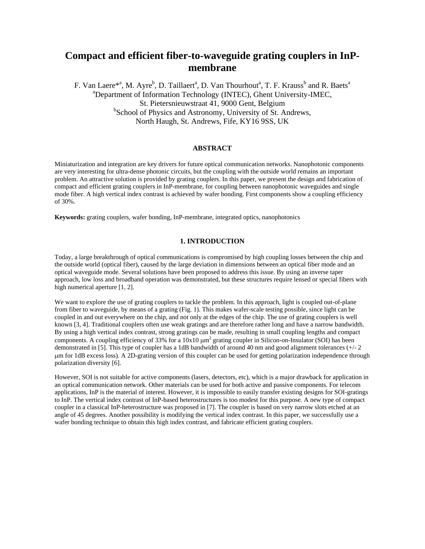# **Compact and efficient fiber-to-waveguide grating couplers in InPmembrane**

F. Van Laere<sup>\*a</sup>, M. Ayre<sup>b</sup>, D. Taillaert<sup>a</sup>, D. Van Thourhout<sup>a</sup>, T. F. Krauss<sup>b</sup> and R. Baets<sup>a</sup> a Department of Information Technology (INTEC), Ghent University-IMEC, St. Pietersnieuwstraat 41, 9000 Gent, Belgium <sup>b</sup>School of Physics and Astronomy, University of St. Andrews, North Haugh, St. Andrews, Fife, KY16 9SS, UK

## **ABSTRACT**

Miniaturization and integration are key drivers for future optical communication networks. Nanophotonic components are very interesting for ultra-dense photonic circuits, but the coupling with the outside world remains an important problem. An attractive solution is provided by grating couplers. In this paper, we present the design and fabrication of compact and efficient grating couplers in InP-membrane, for coupling between nanophotonic waveguides and single mode fiber. A high vertical index contrast is achieved by wafer bonding. First components show a coupling efficiency of 30%.

**Keywords:** grating couplers, wafer bonding, InP-membrane, integrated optics, nanophotonics

## **1. INTRODUCTION**

Today, a large breakthrough of optical communications is compromised by high coupling losses between the chip and the outside world (optical fiber), caused by the large deviation in dimensions between an optical fiber mode and an optical waveguide mode. Several solutions have been proposed to address this issue. By using an inverse taper approach, low loss and broadband operation was demonstrated, but these structures require lensed or special fibers with high numerical aperture [1, 2].

We want to explore the use of grating couplers to tackle the problem. In this approach, light is coupled out-of-plane from fiber to waveguide, by means of a grating (Fig. 1). This makes wafer-scale testing possible, since light can be coupled in and out everywhere on the chip, and not only at the edges of the chip. The use of grating couplers is well known [3, 4]. Traditional couplers often use weak gratings and are therefore rather long and have a narrow bandwidth. By using a high vertical index contrast, strong gratings can be made, resulting in small coupling lengths and compact components. A coupling efficiency of 33% for a  $10x10 \mu m^2$  grating coupler in Silicon-on-Insulator (SOI) has been demonstrated in [5]. This type of coupler has a 1dB bandwidth of around 40 nm and good alignment tolerances (+/- 2 µm for 1dB excess loss). A 2D-grating version of this coupler can be used for getting polarization independence through polarization diversity [6].

However, SOI is not suitable for active components (lasers, detectors, etc), which is a major drawback for application in an optical communication network. Other materials can be used for both active and passive components. For telecom applications, InP is the material of interest. However, it is impossible to easily transfer existing designs for SOI-gratings to InP. The vertical index contrast of InP-based heterostructures is too modest for this purpose. A new type of compact coupler in a classical InP-heterostructure was proposed in [7]. The coupler is based on very narrow slots etched at an angle of 45 degrees. Another possibility is modifying the vertical index contrast. In this paper, we successfully use a wafer bonding technique to obtain this high index contrast, and fabricate efficient grating couplers.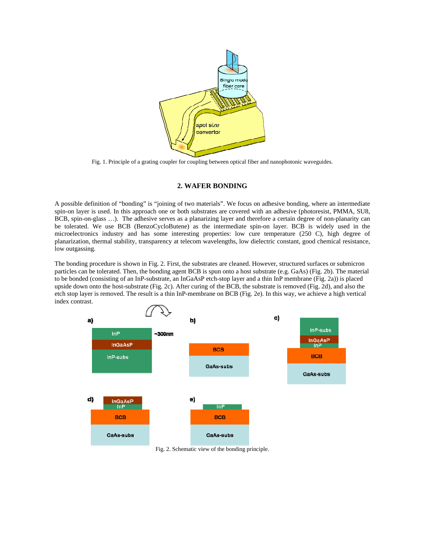

Fig. 1. Principle of a grating coupler for coupling between optical fiber and nanophotonic waveguides.

#### **2. WAFER BONDING**

A possible definition of "bonding" is "joining of two materials". We focus on adhesive bonding, where an intermediate spin-on layer is used. In this approach one or both substrates are covered with an adhesive (photoresist, PMMA, SU8, BCB, spin-on-glass …). The adhesive serves as a planarizing layer and therefore a certain degree of non-planarity can be tolerated. We use BCB (BenzoCycloButene) as the intermediate spin-on layer. BCB is widely used in the microelectronics industry and has some interesting properties: low cure temperature (250 C), high degree of planarization, thermal stability, transparency at telecom wavelengths, low dielectric constant, good chemical resistance, low outgassing.

The bonding procedure is shown in Fig. 2. First, the substrates are cleaned. However, structured surfaces or submicron particles can be tolerated. Then, the bonding agent BCB is spun onto a host substrate (e.g. GaAs) (Fig. 2b). The material to be bonded (consisting of an InP-substrate, an InGaAsP etch-stop layer and a thin InP membrane (Fig. 2a)) is placed upside down onto the host-substrate (Fig. 2c). After curing of the BCB, the substrate is removed (Fig. 2d), and also the etch stop layer is removed. The result is a thin InP-membrane on BCB (Fig. 2e). In this way, we achieve a high vertical index contrast.



Fig. 2. Schematic view of the bonding principle.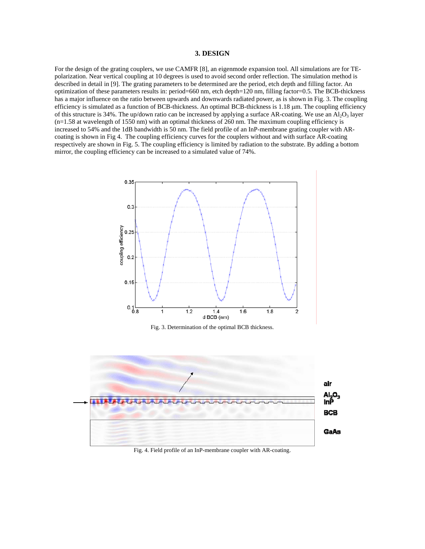## **3. DESIGN**

For the design of the grating couplers, we use CAMFR [8], an eigenmode expansion tool. All simulations are for TEpolarization. Near vertical coupling at 10 degrees is used to avoid second order reflection. The simulation method is described in detail in [9]. The grating parameters to be determined are the period, etch depth and filling factor. An optimization of these parameters results in: period=660 nm, etch depth=120 nm, filling factor=0.5. The BCB-thickness has a major influence on the ratio between upwards and downwards radiated power, as is shown in Fig. 3. The coupling efficiency is simulated as a function of BCB-thickness. An optimal BCB-thickness is 1.18 µm. The coupling efficiency of this structure is 34%. The up/down ratio can be increased by applying a surface AR-coating. We use an  $Al_2O_3$  layer  $(n=1.58$  at wavelength of 1550 nm) with an optimal thickness of 260 nm. The maximum coupling efficiency is increased to 54% and the 1dB bandwidth is 50 nm. The field profile of an InP-membrane grating coupler with ARcoating is shown in Fig 4. The coupling efficiency curves for the couplers without and with surface AR-coating respectively are shown in Fig. 5. The coupling efficiency is limited by radiation to the substrate. By adding a bottom mirror, the coupling efficiency can be increased to a simulated value of 74%.



Fig. 3. Determination of the optimal BCB thickness.



Fig. 4. Field profile of an InP-membrane coupler with AR-coating.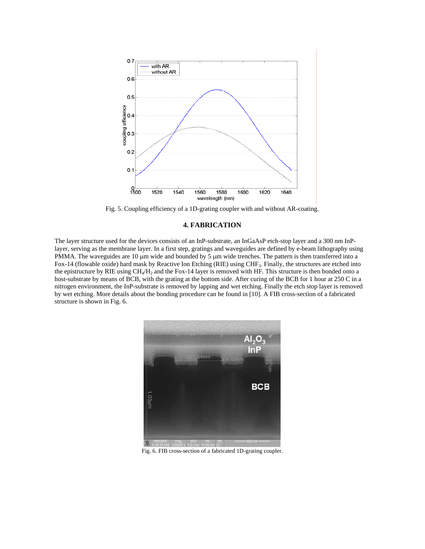

Fig. 5. Coupling efficiency of a 1D-grating coupler with and without AR-coating.

## **4. FABRICATION**

The layer structure used for the devices consists of an InP-substrate, an InGaAsP etch-stop layer and a 300 nm InPlayer, serving as the membrane layer. In a first step, gratings and waveguides are defined by e-beam lithography using PMMA. The waveguides are 10  $\mu$ m wide and bounded by 5  $\mu$ m wide trenches. The pattern is then transferred into a Fox-14 (flowable oxide) hard mask by Reactive Ion Etching (RIE) using CHF3. Finally, the structures are etched into the epistructure by RIE using  $CH_4/H_2$  and the Fox-14 layer is removed with HF. This structure is then bonded onto a host-substrate by means of BCB, with the grating at the bottom side. After curing of the BCB for 1 hour at 250 C in a nitrogen environment, the InP-substrate is removed by lapping and wet etching. Finally the etch stop layer is removed by wet etching. More details about the bonding procedure can be found in [10]. A FIB cross-section of a fabricated structure is shown in Fig. 6.



Fig. 6. FIB cross-section of a fabricated 1D-grating coupler.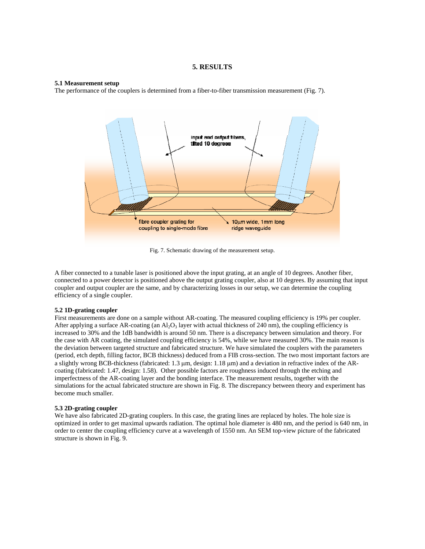#### **5. RESULTS**

#### **5.1 Measurement setup**

The performance of the couplers is determined from a fiber-to-fiber transmission measurement (Fig. 7).



Fig. 7. Schematic drawing of the measurement setup.

A fiber connected to a tunable laser is positioned above the input grating, at an angle of 10 degrees. Another fiber, connected to a power detector is positioned above the output grating coupler, also at 10 degrees. By assuming that input coupler and output coupler are the same, and by characterizing losses in our setup, we can determine the coupling efficiency of a single coupler.

#### **5.2 1D-grating coupler**

First measurements are done on a sample without AR-coating. The measured coupling efficiency is 19% per coupler. After applying a surface AR-coating (an  $A<sub>2</sub>O<sub>3</sub>$  layer with actual thickness of 240 nm), the coupling efficiency is increased to 30% and the 1dB bandwidth is around 50 nm. There is a discrepancy between simulation and theory. For the case with AR coating, the simulated coupling efficiency is 54%, while we have measured 30%. The main reason is the deviation between targeted structure and fabricated structure. We have simulated the couplers with the parameters (period, etch depth, filling factor, BCB thickness) deduced from a FIB cross-section. The two most important factors are a slightly wrong BCB-thickness (fabricated:  $1.3 \mu m$ , design:  $1.18 \mu m$ ) and a deviation in refractive index of the ARcoating (fabricated: 1.47, design: 1.58). Other possible factors are roughness induced through the etching and imperfectness of the AR-coating layer and the bonding interface. The measurement results, together with the simulations for the actual fabricated structure are shown in Fig. 8. The discrepancy between theory and experiment has become much smaller.

#### **5.3 2D-grating coupler**

We have also fabricated 2D-grating couplers. In this case, the grating lines are replaced by holes. The hole size is optimized in order to get maximal upwards radiation. The optimal hole diameter is 480 nm, and the period is 640 nm, in order to center the coupling efficiency curve at a wavelength of 1550 nm. An SEM top-view picture of the fabricated structure is shown in Fig. 9.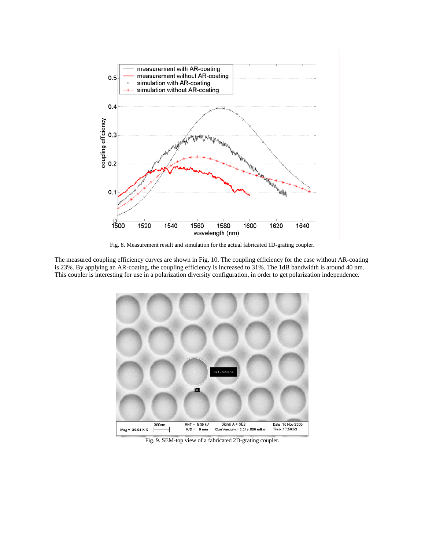

Fig. 8. Measurement result and simulation for the actual fabricated 1D-grating coupler.

The measured coupling efficiency curves are shown in Fig. 10. The coupling efficiency for the case without AR-coating is 23%. By applying an AR-coating, the coupling efficiency is increased to 31%. The 1dB bandwidth is around 40 nm. This coupler is interesting for use in a polarization diversity configuration, in order to get polarization independence.



Fig. 9. SEM-top view of a fabricated 2D-grating coupler.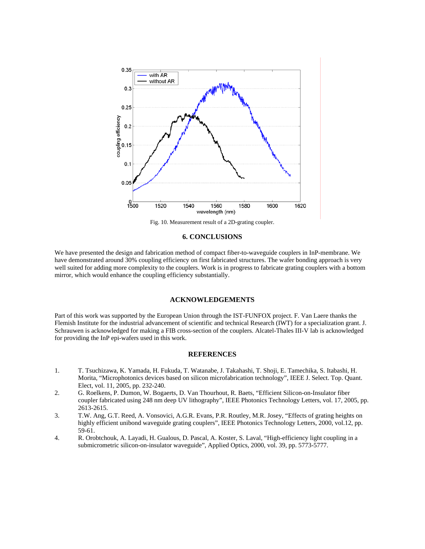

Fig. 10. Measurement result of a 2D-grating coupler.

## **6. CONCLUSIONS**

We have presented the design and fabrication method of compact fiber-to-waveguide couplers in InP-membrane. We have demonstrated around 30% coupling efficiency on first fabricated structures. The wafer bonding approach is very well suited for adding more complexity to the couplers. Work is in progress to fabricate grating couplers with a bottom mirror, which would enhance the coupling efficiency substantially.

### **ACKNOWLEDGEMENTS**

Part of this work was supported by the European Union through the IST-FUNFOX project. F. Van Laere thanks the Flemish Institute for the industrial advancement of scientific and technical Research (IWT) for a specialization grant. J. Schrauwen is acknowledged for making a FIB cross-section of the couplers. Alcatel-Thales III-V lab is acknowledged for providing the InP epi-wafers used in this work.

## **REFERENCES**

- 1. T. Tsuchizawa, K. Yamada, H. Fukuda, T. Watanabe, J. Takahashi, T. Shoji, E. Tamechika, S. Itabashi, H. Morita, "Microphotonics devices based on silicon microfabrication technology", IEEE J. Select. Top. Quant. Elect, vol. 11, 2005, pp. 232-240.
- 2. G. Roelkens, P. Dumon, W. Bogaerts, D. Van Thourhout, R. Baets, "Efficient Silicon-on-Insulator fiber coupler fabricated using 248 nm deep UV lithography", IEEE Photonics Technology Letters, vol. 17, 2005, pp. 2613-2615.
- 3. T.W. Ang, G.T. Reed, A. Vonsovici, A.G.R. Evans, P.R. Routley, M.R. Josey, "Effects of grating heights on highly efficient unibond waveguide grating couplers", IEEE Photonics Technology Letters, 2000, vol.12, pp. 59-61.
- 4. R. Orobtchouk, A. Layadi, H. Gualous, D. Pascal, A. Koster, S. Laval, "High-efficiency light coupling in a submicrometric silicon-on-insulator waveguide", Applied Optics, 2000, vol. 39, pp. 5773-5777.